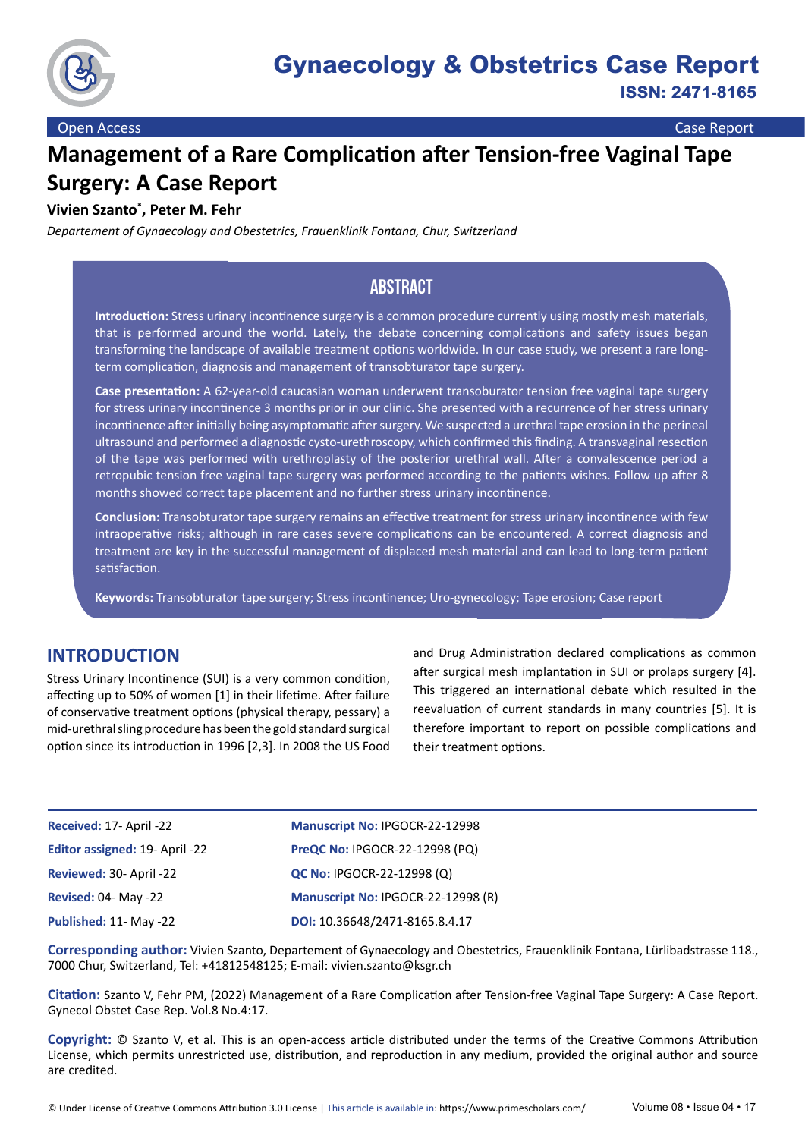

# **Management of a Rare Complication after Tension-free Vaginal Tape Surgery: A Case Report**

# **Vivien Szanto\* , Peter M. Fehr**

*Departement of Gynaecology and Obestetrics, Frauenklinik Fontana, Chur, Switzerland*

# **Abstract**

**Introduction:** Stress urinary incontinence surgery is a common procedure currently using mostly mesh materials, that is performed around the world. Lately, the debate concerning complications and safety issues began transforming the landscape of available treatment options worldwide. In our case study, we present a rare longterm complication, diagnosis and management of transobturator tape surgery.

**Case presentation:** A 62-year-old caucasian woman underwent transoburator tension free vaginal tape surgery for stress urinary incontinence 3 months prior in our clinic. She presented with a recurrence of her stress urinary incontinence after initially being asymptomatic after surgery. We suspected a urethral tape erosion in the perineal ultrasound and performed a diagnostic cysto-urethroscopy, which confirmed this finding. A transvaginal resection of the tape was performed with urethroplasty of the posterior urethral wall. After a convalescence period a retropubic tension free vaginal tape surgery was performed according to the patients wishes. Follow up after 8 months showed correct tape placement and no further stress urinary incontinence.

**Conclusion:** Transobturator tape surgery remains an effective treatment for stress urinary incontinence with few intraoperative risks; although in rare cases severe complications can be encountered. A correct diagnosis and treatment are key in the successful management of displaced mesh material and can lead to long-term patient satisfaction.

**Keywords:** Transobturator tape surgery; Stress incontinence; Uro-gynecology; Tape erosion; Case report

# **INTRODUCTION**

Stress Urinary Incontinence (SUI) is a very common condition, affecting up to 50% of women [1] in their lifetime. After failure of conservative treatment options (physical therapy, pessary) a mid-urethral sling procedure has been the gold standard surgical option since its introduction in 1996 [2,3]. In 2008 the US Food

and Drug Administration declared complications as common after surgical mesh implantation in SUI or prolaps surgery [4]. This triggered an international debate which resulted in the reevaluation of current standards in many countries [5]. It is therefore important to report on possible complications and their treatment options.

| Received: 17- April -22        | Manuscript No: IPGOCR-22-12998     |
|--------------------------------|------------------------------------|
| Editor assigned: 19- April -22 | PreQC No: IPGOCR-22-12998 (PQ)     |
| Reviewed: 30- April -22        | <b>QC No: IPGOCR-22-12998 (Q)</b>  |
| <b>Revised: 04- May -22</b>    | Manuscript No: IPGOCR-22-12998 (R) |
| Published: 11- May -22         | DOI: 10.36648/2471-8165.8.4.17     |

**Corresponding author:** Vivien Szanto, Departement of Gynaecology and Obestetrics, Frauenklinik Fontana, Lürlibadstrasse 118., 7000 Chur, Switzerland, Tel: +41812548125; E-mail: [vivien.szanto@ksgr.ch](mailto:vivien.szanto@ksgr.ch)

**Citation:** Szanto V, Fehr PM, (2022) Management of a Rare Complication after Tension-free Vaginal Tape Surgery: A Case Report. Gynecol Obstet Case Rep. Vol.8 No.4:17.

**Copyright:** © Szanto V, et al. This is an open-access article distributed under the terms of the Creative Commons Attribution License, which permits unrestricted use, distribution, and reproduction in any medium, provided the original author and source are credited.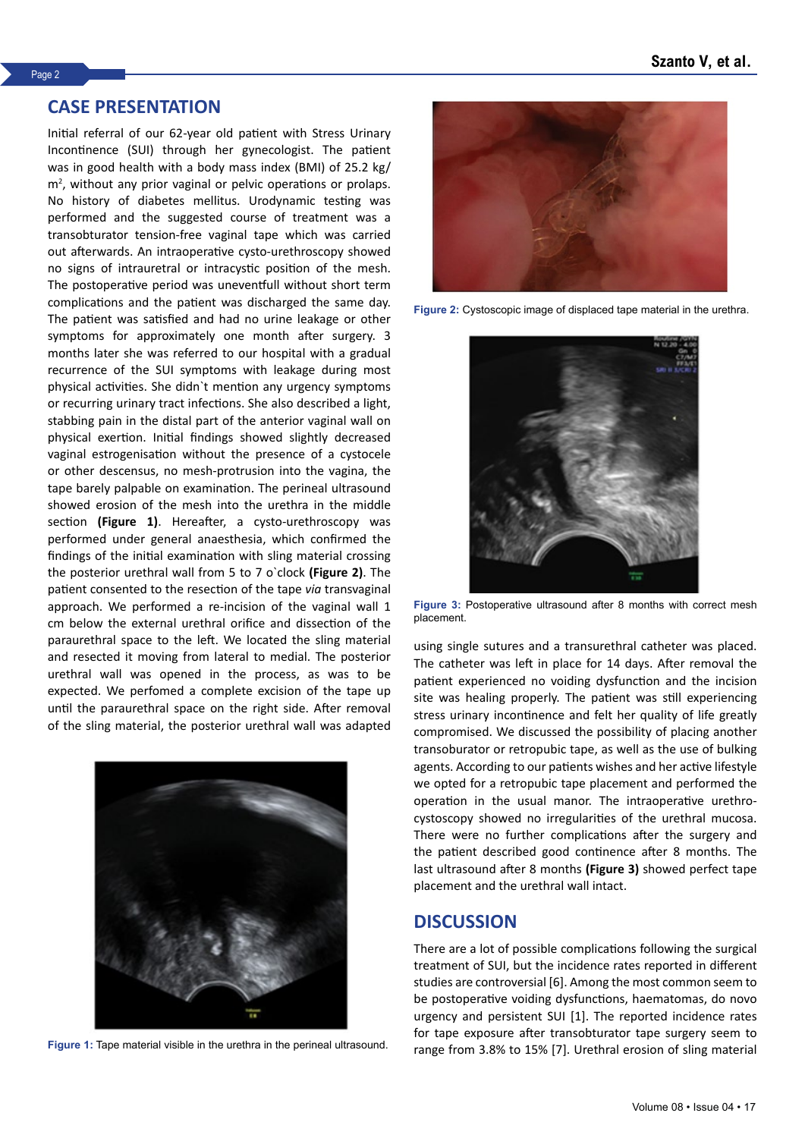### **CASE PRESENTATION**

Initial referral of our 62-year old patient with Stress Urinary Incontinence (SUI) through her gynecologist. The patient was in good health with a body mass index (BMI) of 25.2 kg/ m<sup>2</sup>, without any prior vaginal or pelvic operations or prolaps. No history of diabetes mellitus. Urodynamic testing was performed and the suggested course of treatment was a transobturator tension-free vaginal tape which was carried out afterwards. An intraoperative cysto-urethroscopy showed no signs of intrauretral or intracystic position of the mesh. The postoperative period was uneventfull without short term complications and the patient was discharged the same day. The patient was satisfied and had no urine leakage or other symptoms for approximately one month after surgery. 3 months later she was referred to our hospital with a gradual recurrence of the SUI symptoms with leakage during most physical activities. She didn`t mention any urgency symptoms or recurring urinary tract infections. She also described a light, stabbing pain in the distal part of the anterior vaginal wall on physical exertion. Initial findings showed slightly decreased vaginal estrogenisation without the presence of a cystocele or other descensus, no mesh-protrusion into the vagina, the tape barely palpable on examination. The perineal ultrasound showed erosion of the mesh into the urethra in the middle section **(Figure 1)**. Hereafter, a cysto-urethroscopy was performed under general anaesthesia, which confirmed the findings of the initial examination with sling material crossing the posterior urethral wall from 5 to 7 o`clock **(Figure 2)**. The patient consented to the resection of the tape *via* transvaginal approach. We performed a re-incision of the vaginal wall 1 cm below the external urethral orifice and dissection of the paraurethral space to the left. We located the sling material and resected it moving from lateral to medial. The posterior urethral wall was opened in the process, as was to be expected. We perfomed a complete excision of the tape up until the paraurethral space on the right side. After removal of the sling material, the posterior urethral wall was adapted





**Figure 2:** Cystoscopic image of displaced tape material in the urethra.



**Figure 3:** Postoperative ultrasound after 8 months with correct mesh placement.

using single sutures and a transurethral catheter was placed. The catheter was left in place for 14 days. After removal the patient experienced no voiding dysfunction and the incision site was healing properly. The patient was still experiencing stress urinary incontinence and felt her quality of life greatly compromised. We discussed the possibility of placing another transoburator or retropubic tape, as well as the use of bulking agents. According to our patients wishes and her active lifestyle we opted for a retropubic tape placement and performed the operation in the usual manor. The intraoperative urethrocystoscopy showed no irregularities of the urethral mucosa. There were no further complications after the surgery and the patient described good continence after 8 months. The last ultrasound after 8 months **(Figure 3)** showed perfect tape placement and the urethral wall intact.

### **DISCUSSION**

There are a lot of possible complications following the surgical treatment of SUI, but the incidence rates reported in different studies are controversial [6]. Among the most common seem to be postoperative voiding dysfunctions, haematomas, do novo urgency and persistent SUI [1]. The reported incidence rates for tape exposure after transobturator tape surgery seem to Figure 1: Tape material visible in the urethra in the perineal ultrasound.<br>
range from 3.8% to 15% [7]. Urethral erosion of sling material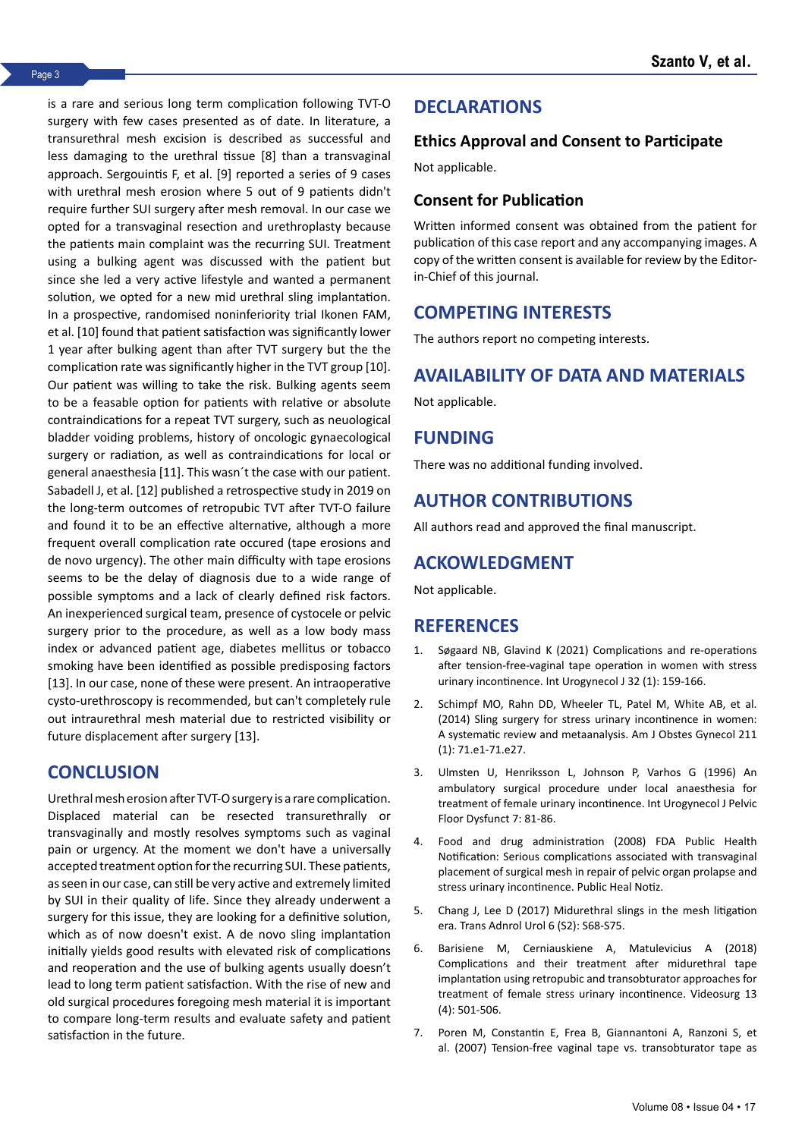is a rare and serious long term complication following TVT-O surgery with few cases presented as of date. In literature, a transurethral mesh excision is described as successful and less damaging to the urethral tissue [8] than a transvaginal approach. Sergouintis F, et al. [9] reported a series of 9 cases with urethral mesh erosion where 5 out of 9 patients didn't require further SUI surgery after mesh removal. In our case we opted for a transvaginal resection and urethroplasty because the patients main complaint was the recurring SUI. Treatment using a bulking agent was discussed with the patient but since she led a very active lifestyle and wanted a permanent solution, we opted for a new mid urethral sling implantation. In a prospective, randomised noninferiority trial Ikonen FAM, et al. [10] found that patient satisfaction was significantly lower 1 year after bulking agent than after TVT surgery but the the complication rate was significantly higher in the TVT group [10]. Our patient was willing to take the risk. Bulking agents seem to be a feasable option for patients with relative or absolute contraindications for a repeat TVT surgery, such as neuological bladder voiding problems, history of oncologic gynaecological surgery or radiation, as well as contraindications for local or general anaesthesia [11]. This wasn´t the case with our patient. Sabadell J, et al. [12] published a retrospective study in 2019 on the long-term outcomes of retropubic TVT after TVT-O failure and found it to be an effective alternative, although a more frequent overall complication rate occured (tape erosions and de novo urgency). The other main difficulty with tape erosions seems to be the delay of diagnosis due to a wide range of possible symptoms and a lack of clearly defined risk factors. An inexperienced surgical team, presence of cystocele or pelvic surgery prior to the procedure, as well as a low body mass index or advanced patient age, diabetes mellitus or tobacco smoking have been identified as possible predisposing factors [13]. In our case, none of these were present. An intraoperative cysto-urethroscopy is recommended, but can't completely rule out intraurethral mesh material due to restricted visibility or future displacement after surgery [13].

# **CONCLUSION**

Urethral mesh erosion after TVT-O surgery is a rare complication. Displaced material can be resected transurethrally or transvaginally and mostly resolves symptoms such as vaginal pain or urgency. At the moment we don't have a universally accepted treatment option for the recurring SUI. These patients, as seen in our case, can still be very active and extremely limited by SUI in their quality of life. Since they already underwent a surgery for this issue, they are looking for a definitive solution, which as of now doesn't exist. A de novo sling implantation initially yields good results with elevated risk of complications and reoperation and the use of bulking agents usually doesn't lead to long term patient satisfaction. With the rise of new and old surgical procedures foregoing mesh material it is important to compare long-term results and evaluate safety and patient satisfaction in the future.

# **DECLARATIONS**

#### **Ethics Approval and Consent to Participate**

Not applicable.

### **Consent for Publication**

Written informed consent was obtained from the patient for publication of this case report and any accompanying images. A copy of the written consent is available for review by the Editorin-Chief of this journal.

## **COMPETING INTERESTS**

The authors report no competing interests.

## **AVAILABILITY OF DATA AND MATERIALS**

Not applicable.

# **FUNDING**

There was no additional funding involved.

# **AUTHOR CONTRIBUTIONS**

All authors read and approved the final manuscript.

### **ACKOWLEDGMENT**

Not applicable.

### **REFERENCES**

- 1. Søgaard NB, Glavind K (2021) [Complications and re-operations](https://link.springer.com/article/10.1007/s00192-020-04402-5)  [after tension-free-vaginal tape operation in women with stress](https://link.springer.com/article/10.1007/s00192-020-04402-5)  [urinary incontinence.](https://link.springer.com/article/10.1007/s00192-020-04402-5) Int Urogynecol J 32 (1): 159-166.
- 2. Schimpf MO, Rahn DD, Wheeler TL, Patel M, White AB, et al. (2014) [Sling surgery for stress urinary incontinence in women:](https://www.sciencedirect.com/science/article/pii/S0002937814000593) [A systematic review and metaanalysis.](https://www.sciencedirect.com/science/article/pii/S0002937814000593) Am J Obstes Gynecol 211 (1): 71.e1-71.e27.
- 3. Ulmsten U, Henriksson L, Johnson P, Varhos G (1996) [An](https://link.springer.com/article/10.1007/BF01902378)  [ambulatory surgical procedure under local anaesthesia for](https://link.springer.com/article/10.1007/BF01902378)  [treatment of female urinary incontinence](https://link.springer.com/article/10.1007/BF01902378). Int Urogynecol J Pelvic Floor Dysfunct 7: 81-86.
- 4. Food and drug administration (2008) FDA Public Health Notification: Serious complications associated with transvaginal placement of surgical mesh in repair of pelvic organ prolapse and stress urinary incontinence. Public Heal Notiz.
- 5. Chang J, Lee D (2017) [Midurethral slings in the mesh litigation](https://www.ncbi.nlm.nih.gov/pmc/articles/pmc5522799/)  [era](https://www.ncbi.nlm.nih.gov/pmc/articles/pmc5522799/). Trans Adnrol Urol 6 (S2): S68-S75.
- 6. Barisiene M, Cerniauskiene A, Matulevicius A (2018) [Complications and their treatment after midurethral tape](https://www.ncbi.nlm.nih.gov/pmc/articles/PMC6280087/)  [implantation using retropubic and transobturator approaches for](https://www.ncbi.nlm.nih.gov/pmc/articles/PMC6280087/)  [treatment of female stress urinary incontinence](https://www.ncbi.nlm.nih.gov/pmc/articles/PMC6280087/). Videosurg 13 (4): 501-506.
- 7. Poren M, Constantin E, Frea B, Giannantoni A, Ranzoni S, et al. (2007) [Tension-free vaginal tape vs. transobturator tape as](https://www.sciencedirect.com/science/article/pii/S0302283807006525)